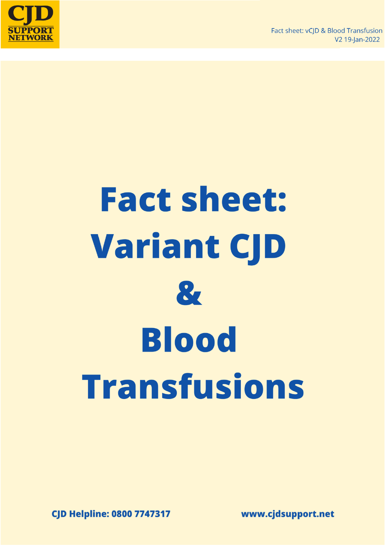



# **Fact sheet: Variant CJD**  $\mathbf{z}$ **Blood Transfusions**

**CJD Helpline: 0800 7747317** 

www.cjdsupport.net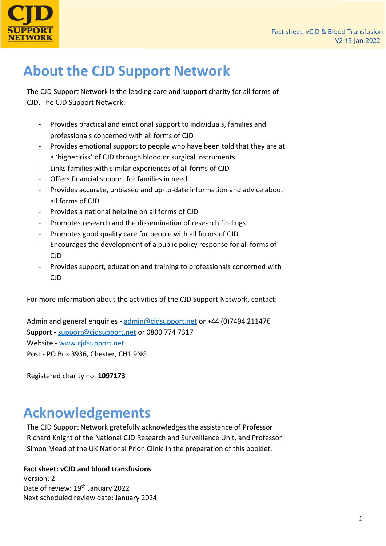

## **About the CJD Support Network**

The CJD Support Network is the leading care and support charity for all forms of CJD. The CJD Support Network:

- Provides practical and emotional support to individuals, families and professionals concerned with all forms of CJD
- Provides emotional support to people who have been told that they are at a 'higher risk' of CJD through blood or surgical instruments
- Links families with similar experiences of all forms of CJD
- Offers financial support for families in need
- Provides accurate, unbiased and up-to-date information and advice about all forms of CJD
- Provides a national helpline on all forms of CJD
- Promotes research and the dissemination of research findings
- Promotes good quality care for people with all forms of CJD
- Encourages the development of a public policy response for all forms of CJD
- Provides support, education and training to professionals concerned with CJD

For more information about the activities of the CJD Support Network, contact:

Admin and general enquiries - [admin@cjdsupport.net](mailto:admin@cjdsupport.net) or +44 (0)7494 211476 Support - [support@cjdsupport.net](mailto:support@cjdsupport.net) or 0800 774 7317 Website - [www.cjdsupport.net](http://www.cjdsupport.net/) Post - PO Box 3936, Chester, CH1 9NG

Registered charity no. **1097173**

## **Acknowledgements**

The CJD Support Network gratefully acknowledges the assistance of Professor Richard Knight of the National CJD Research and Surveillance Unit, and Professor Simon Mead of the UK National Prion Clinic in the preparation of this booklet.

#### **Fact sheet: vCJD and blood transfusions**

Version: 2 Date of review: 19<sup>th</sup> January 2022 Next scheduled review date: January 2024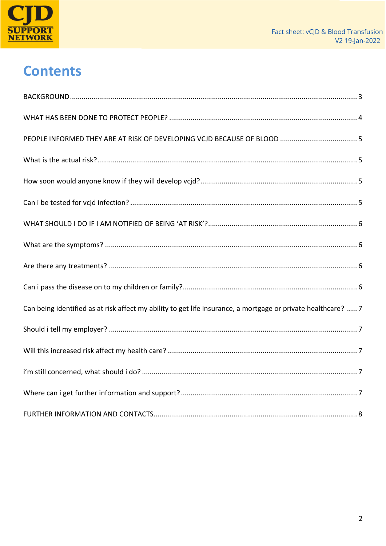

# **Contents**

| Can being identified as at risk affect my ability to get life insurance, a mortgage or private healthcare? 7 |
|--------------------------------------------------------------------------------------------------------------|
|                                                                                                              |
|                                                                                                              |
|                                                                                                              |
|                                                                                                              |
|                                                                                                              |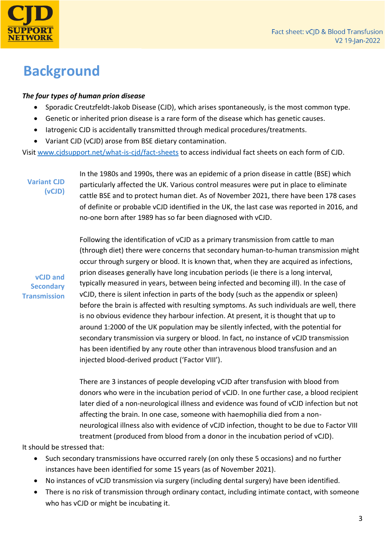

### <span id="page-3-0"></span>**Background**

#### *The four types of human prion disease*

- Sporadic Creutzfeldt-Jakob Disease (CJD), which arises spontaneously, is the most common type.
- Genetic or inherited prion disease is a rare form of the disease which has genetic causes.
- Iatrogenic CJD is accidentally transmitted through medical procedures/treatments.
- Variant CJD (vCJD) arose from BSE dietary contamination.

Visit [www.cjdsupport.net/what-is-cjd/fact-sheets](http://www.cjdsupport.net/what-is-cjd/fact-sheets) to access individual fact sheets on each form of CJD.

**Variant CJD (vCJD)**

In the 1980s and 1990s, there was an epidemic of a prion disease in cattle (BSE) which particularly affected the UK. Various control measures were put in place to eliminate cattle BSE and to protect human diet. As of November 2021, there have been 178 cases of definite or probable vCJD identified in the UK, the last case was reported in 2016, and no-one born after 1989 has so far been diagnosed with vCJD.

**vCJD and Secondary Transmission**

Following the identification of vCJD as a primary transmission from cattle to man (through diet) there were concerns that secondary human-to-human transmission might occur through surgery or blood. It is known that, when they are acquired as infections, prion diseases generally have long incubation periods (ie there is a long interval, typically measured in years, between being infected and becoming ill). In the case of vCJD, there is silent infection in parts of the body (such as the appendix or spleen) before the brain is affected with resulting symptoms. As such individuals are well, there is no obvious evidence they harbour infection. At present, it is thought that up to around 1:2000 of the UK population may be silently infected, with the potential for secondary transmission via surgery or blood. In fact, no instance of vCJD transmission has been identified by any route other than intravenous blood transfusion and an injected blood-derived product ('Factor VIII').

There are 3 instances of people developing vCJD after transfusion with blood from donors who were in the incubation period of vCJD. In one further case, a blood recipient later died of a non-neurological illness and evidence was found of vCJD infection but not affecting the brain. In one case, someone with haemophilia died from a nonneurological illness also with evidence of vCJD infection, thought to be due to Factor VIII treatment (produced from blood from a donor in the incubation period of vCJD).

It should be stressed that:

- Such secondary transmissions have occurred rarely (on only these 5 occasions) and no further instances have been identified for some 15 years (as of November 2021).
- No instances of vCJD transmission via surgery (including dental surgery) have been identified.
- There is no risk of transmission through ordinary contact, including intimate contact, with someone who has vCJD or might be incubating it.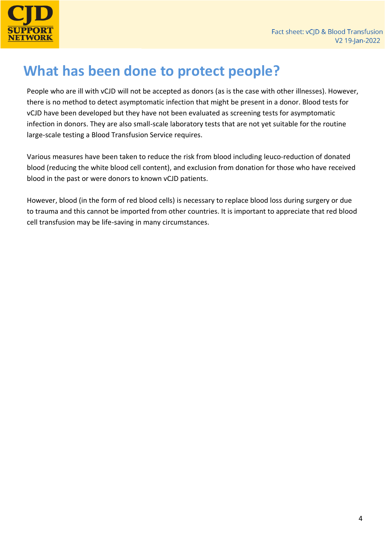

## <span id="page-4-0"></span>**What has been done to protect people?**

People who are ill with vCJD will not be accepted as donors (as is the case with other illnesses). However, there is no method to detect asymptomatic infection that might be present in a donor. Blood tests for vCJD have been developed but they have not been evaluated as screening tests for asymptomatic infection in donors. They are also small-scale laboratory tests that are not yet suitable for the routine large-scale testing a Blood Transfusion Service requires.

Various measures have been taken to reduce the risk from blood including leuco-reduction of donated blood (reducing the white blood cell content), and exclusion from donation for those who have received blood in the past or were donors to known vCJD patients.

However, blood (in the form of red blood cells) is necessary to replace blood loss during surgery or due to trauma and this cannot be imported from other countries. It is important to appreciate that red blood cell transfusion may be life-saving in many circumstances.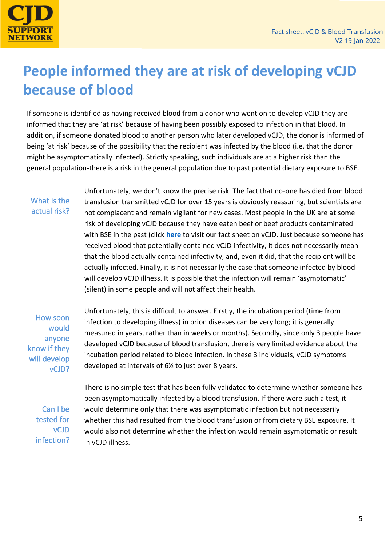

## <span id="page-5-0"></span>**People informed they are at risk of developing vCJD because of blood**

If someone is identified as having received blood from a donor who went on to develop vCJD they are informed that they are 'at risk' because of having been possibly exposed to infection in that blood. In addition, if someone donated blood to another person who later developed vCJD, the donor is informed of being 'at risk' because of the possibility that the recipient was infected by the blood (i.e. that the donor might be asymptomatically infected). Strictly speaking, such individuals are at a higher risk than the general population-there is a risk in the general population due to past potential dietary exposure to BSE.

#### <span id="page-5-1"></span>What is the actual risk?

Unfortunately, we don't know the precise risk. The fact that no-one has died from blood transfusion transmitted vCJD for over 15 years is obviously reassuring, but scientists are not complacent and remain vigilant for new cases. Most people in the UK are at some risk of developing vCJD because they have eaten beef or beef products contaminated with BSE in the past (click **[here](https://www.cjdsupport.net/images/factsheets/Variant_CJD_v2_FINAL.pdf)** to visit our fact sheet on vCJD. Just because someone has received blood that potentially contained vCJD infectivity, it does not necessarily mean that the blood actually contained infectivity, and, even it did, that the recipient will be actually infected. Finally, it is not necessarily the case that someone infected by blood will develop vCJD illness. It is possible that the infection will remain 'asymptomatic' (silent) in some people and will not affect their health.

<span id="page-5-2"></span>How soon would anyone know if they will develop vCJD? Unfortunately, this is difficult to answer. Firstly, the incubation period (time from infection to developing illness) in prion diseases can be very long; it is generally measured in years, rather than in weeks or months). Secondly, since only 3 people have developed vCJD because of blood transfusion, there is very limited evidence about the incubation period related to blood infection. In these 3 individuals, vCJD symptoms developed at intervals of 6½ to just over 8 years.

<span id="page-5-3"></span>Can I be tested for vCJD infection? There is no simple test that has been fully validated to determine whether someone has been asymptomatically infected by a blood transfusion. If there were such a test, it would determine only that there was asymptomatic infection but not necessarily whether this had resulted from the blood transfusion or from dietary BSE exposure. It would also not determine whether the infection would remain asymptomatic or result in vCJD illness.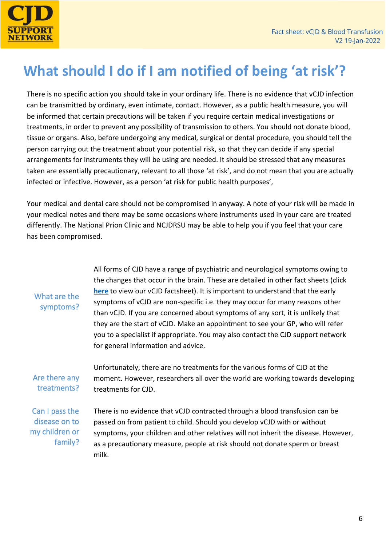

## <span id="page-6-0"></span>**What should I do if I am notified of being 'at risk'?**

There is no specific action you should take in your ordinary life. There is no evidence that vCJD infection can be transmitted by ordinary, even intimate, contact. However, as a public health measure, you will be informed that certain precautions will be taken if you require certain medical investigations or treatments, in order to prevent any possibility of transmission to others. You should not donate blood, tissue or organs. Also, before undergoing any medical, surgical or dental procedure, you should tell the person carrying out the treatment about your potential risk, so that they can decide if any special arrangements for instruments they will be using are needed. It should be stressed that any measures taken are essentially precautionary, relevant to all those 'at risk', and do not mean that you are actually infected or infective. However, as a person 'at risk for public health purposes',

Your medical and dental care should not be compromised in anyway. A note of your risk will be made in your medical notes and there may be some occasions where instruments used in your care are treated differently. The National Prion Clinic and NCJDRSU may be able to help you if you feel that your care has been compromised.

#### <span id="page-6-1"></span>What are the symptoms?

All forms of CJD have a range of psychiatric and neurological symptoms owing to the changes that occur in the brain. These are detailed in other fact sheets (click **[here](https://www.cjdsupport.net/images/factsheets/Variant_CJD_v2_FINAL.pdf)** to view our vCJD factsheet). It is important to understand that the early symptoms of vCJD are non-specific i.e. they may occur for many reasons other than vCJD. If you are concerned about symptoms of any sort, it is unlikely that they are the start of vCJD. Make an appointment to see your GP, who will refer you to a specialist if appropriate. You may also contact the CJD support network for general information and advice.

<span id="page-6-2"></span>Are there any treatments? Unfortunately, there are no treatments for the various forms of CJD at the moment. However, researchers all over the world are working towards developing treatments for CJD.

<span id="page-6-3"></span>Can I pass the disease on to my children or family?

There is no evidence that vCJD contracted through a blood transfusion can be passed on from patient to child. Should you develop vCJD with or without symptoms, your children and other relatives will not inherit the disease. However, as a precautionary measure, people at risk should not donate sperm or breast milk.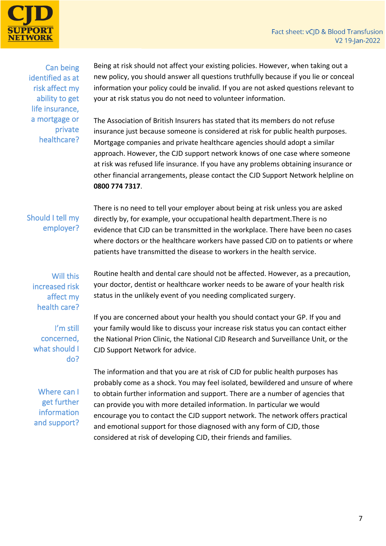

<span id="page-7-0"></span>Can being identified as at risk affect my ability to get life insurance, a mortgage or private healthcare?

Being at risk should not affect your existing policies. However, when taking out a new policy, you should answer all questions truthfully because if you lie or conceal information your policy could be invalid. If you are not asked questions relevant to your at risk status you do not need to volunteer information.

The Association of British Insurers has stated that its members do not refuse insurance just because someone is considered at risk for public health purposes. Mortgage companies and private healthcare agencies should adopt a similar approach. However, the CJD support network knows of one case where someone at risk was refused life insurance. If you have any problems obtaining insurance or other financial arrangements, please contact the CJD Support Network helpline on **0800 774 7317**.

#### <span id="page-7-1"></span>Should I tell my employer?

There is no need to tell your employer about being at risk unless you are asked directly by, for example, your occupational health department.There is no evidence that CJD can be transmitted in the workplace. There have been no cases where doctors or the healthcare workers have passed CJD on to patients or where patients have transmitted the disease to workers in the health service.

#### <span id="page-7-2"></span>Will this increased risk affect my health care?

<span id="page-7-3"></span>I'm still concerned, what should I do?

Routine health and dental care should not be affected. However, as a precaution, your doctor, dentist or healthcare worker needs to be aware of your health risk status in the unlikely event of you needing complicated surgery.

<span id="page-7-4"></span>Where can I get further information and support?

If you are concerned about your health you should contact your GP. If you and your family would like to discuss your increase risk status you can contact either the National Prion Clinic, the National CJD Research and Surveillance Unit, or the CJD Support Network for advice.

The information and that you are at risk of CJD for public health purposes has probably come as a shock. You may feel isolated, bewildered and unsure of where to obtain further information and support. There are a number of agencies that can provide you with more detailed information. In particular we would encourage you to contact the CJD support network. The network offers practical and emotional support for those diagnosed with any form of CJD, those considered at risk of developing CJD, their friends and families.